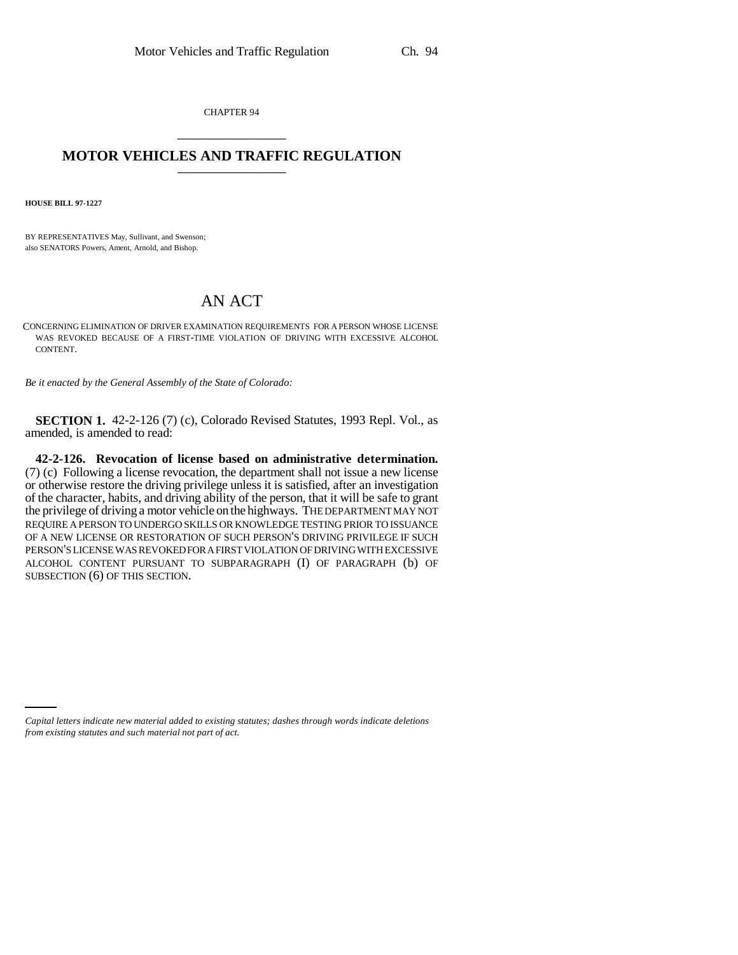CHAPTER 94 \_\_\_\_\_\_\_\_\_\_\_\_\_\_\_

## **MOTOR VEHICLES AND TRAFFIC REGULATION** \_\_\_\_\_\_\_\_\_\_\_\_\_\_\_

**HOUSE BILL 97-1227**

BY REPRESENTATIVES May, Sullivant, and Swenson; also SENATORS Powers, Ament, Arnold, and Bishop.

## AN ACT

CONCERNING ELIMINATION OF DRIVER EXAMINATION REQUIREMENTS FOR A PERSON WHOSE LICENSE WAS REVOKED BECAUSE OF A FIRST-TIME VIOLATION OF DRIVING WITH EXCESSIVE ALCOHOL CONTENT.

*Be it enacted by the General Assembly of the State of Colorado:*

**SECTION 1.** 42-2-126 (7) (c), Colorado Revised Statutes, 1993 Repl. Vol., as amended, is amended to read:

**42-2-126. Revocation of license based on administrative determination.** (7) (c) Following a license revocation, the department shall not issue a new license or otherwise restore the driving privilege unless it is satisfied, after an investigation of the character, habits, and driving ability of the person, that it will be safe to grant the privilege of driving a motor vehicle on the highways. THE DEPARTMENT MAY NOT REQUIRE A PERSON TO UNDERGO SKILLS OR KNOWLEDGE TESTING PRIOR TO ISSUANCE OF A NEW LICENSE OR RESTORATION OF SUCH PERSON'S DRIVING PRIVILEGE IF SUCH PERSON'S LICENSE WAS REVOKED FOR A FIRST VIOLATION OF DRIVING WITH EXCESSIVE ALCOHOL CONTENT PURSUANT TO SUBPARAGRAPH (I) OF PARAGRAPH (b) OF SUBSECTION (6) OF THIS SECTION.

*Capital letters indicate new material added to existing statutes; dashes through words indicate deletions from existing statutes and such material not part of act.*